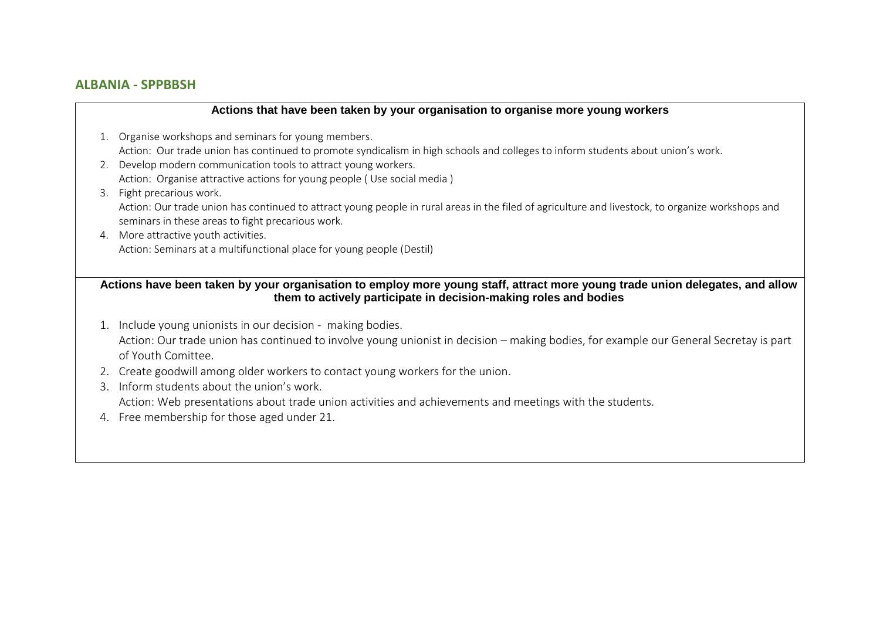# **ALBANIA - SPPBBSH**

#### **Actions that have been taken by your organisation to organise more young workers**

- 1. Organise workshops and seminars for young members. Action: Our trade union has continued to promote syndicalism in high schools and colleges to inform students about union's work.
- 2. Develop modern communication tools to attract young workers. Action: Organise attractive actions for young people ( Use social media )
- 3. Fight precarious work. Action: Our trade union has continued to attract young people in rural areas in the filed of agriculture and livestock, to organize workshops and seminars in these areas to fight precarious work.
- 4. More attractive youth activities. Action: Seminars at a multifunctional place for young people (Destil)

## **Actions have been taken by your organisation to employ more young staff, attract more young trade union delegates, and allow them to actively participate in decision-making roles and bodies**

- 1. Include young unionists in our decision making bodies. Action: Our trade union has continued to involve young unionist in decision – making bodies, for example our General Secretay is part of Youth Comittee.
- 2. Create goodwill among older workers to contact young workers for the union.
- 3. Inform students about the union's work.

Action: Web presentations about trade union activities and achievements and meetings with the students.

4. Free membership for those aged under 21.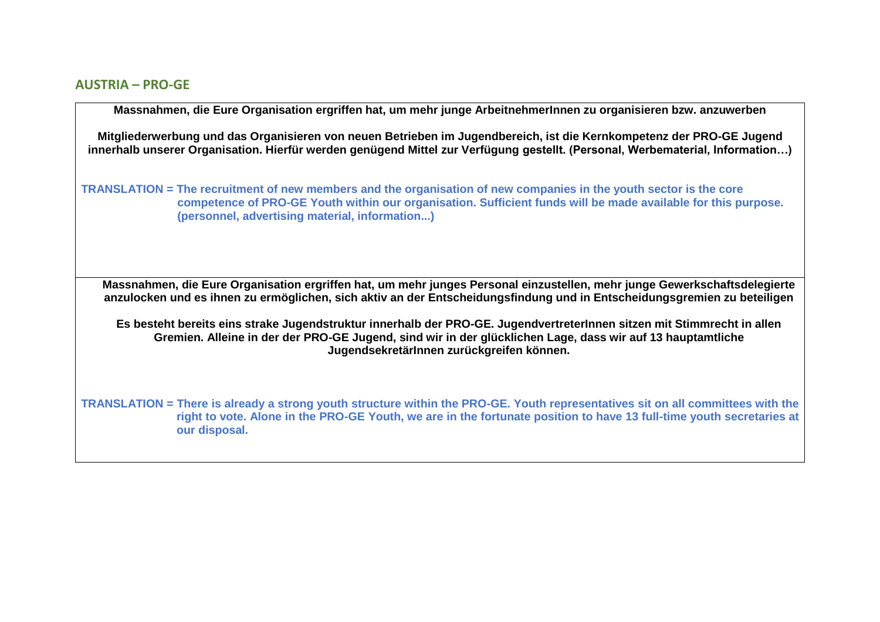## **AUSTRIA – PRO-GE**

**Massnahmen, die Eure Organisation ergriffen hat, um mehr junge ArbeitnehmerInnen zu organisieren bzw. anzuwerben** 

**Mitgliederwerbung und das Organisieren von neuen Betrieben im Jugendbereich, ist die Kernkompetenz der PRO-GE Jugend innerhalb unserer Organisation. Hierfür werden genügend Mittel zur Verfügung gestellt. (Personal, Werbematerial, Information…)**

**TRANSLATION = The recruitment of new members and the organisation of new companies in the youth sector is the core competence of PRO-GE Youth within our organisation. Sufficient funds will be made available for this purpose. (personnel, advertising material, information...)**

**Massnahmen, die Eure Organisation ergriffen hat, um mehr junges Personal einzustellen, mehr junge Gewerkschaftsdelegierte anzulocken und es ihnen zu ermöglichen, sich aktiv an der Entscheidungsfindung und in Entscheidungsgremien zu beteiligen**

**Es besteht bereits eins strake Jugendstruktur innerhalb der PRO-GE. JugendvertreterInnen sitzen mit Stimmrecht in allen Gremien. Alleine in der der PRO-GE Jugend, sind wir in der glücklichen Lage, dass wir auf 13 hauptamtliche JugendsekretärInnen zurückgreifen können.**

**TRANSLATION = There is already a strong youth structure within the PRO-GE. Youth representatives sit on all committees with the right to vote. Alone in the PRO-GE Youth, we are in the fortunate position to have 13 full-time youth secretaries at our disposal.**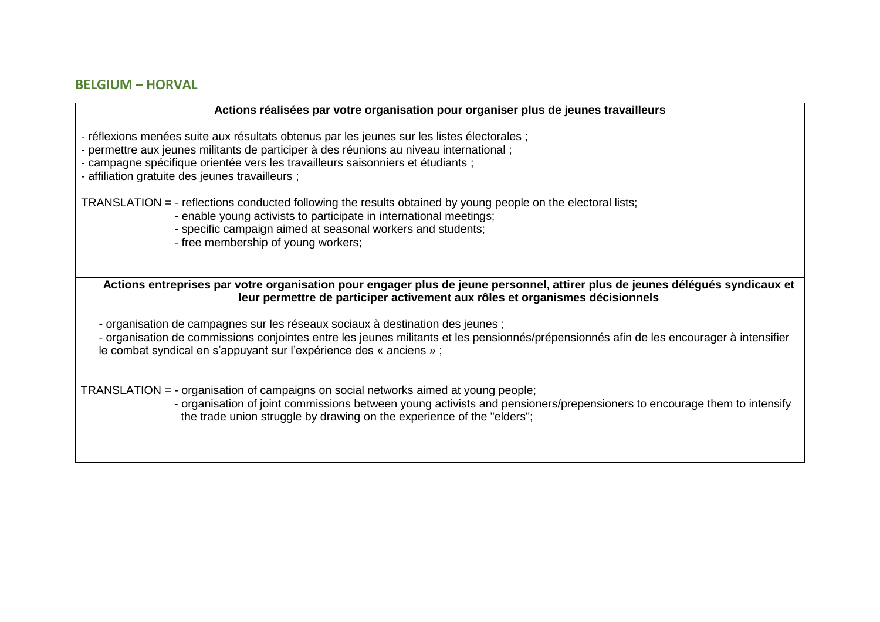# **BELGIUM – HORVAL**

#### **Actions réalisées par votre organisation pour organiser plus de jeunes travailleurs**

- réflexions menées suite aux résultats obtenus par les jeunes sur les listes électorales ;

- permettre aux jeunes militants de participer à des réunions au niveau international ;

- campagne spécifique orientée vers les travailleurs saisonniers et étudiants ;

- affiliation gratuite des jeunes travailleurs ;

TRANSLATION = - reflections conducted following the results obtained by young people on the electoral lists;

- enable young activists to participate in international meetings;

- specific campaign aimed at seasonal workers and students;

- free membership of young workers;

**Actions entreprises par votre organisation pour engager plus de jeune personnel, attirer plus de jeunes délégués syndicaux et leur permettre de participer activement aux rôles et organismes décisionnels** 

- organisation de campagnes sur les réseaux sociaux à destination des jeunes ;

- organisation de commissions conjointes entre les jeunes militants et les pensionnés/prépensionnés afin de les encourager à intensifier le combat syndical en s'appuyant sur l'expérience des « anciens » ;

TRANSLATION = - organisation of campaigns on social networks aimed at young people;

- organisation of joint commissions between young activists and pensioners/prepensioners to encourage them to intensify the trade union struggle by drawing on the experience of the "elders";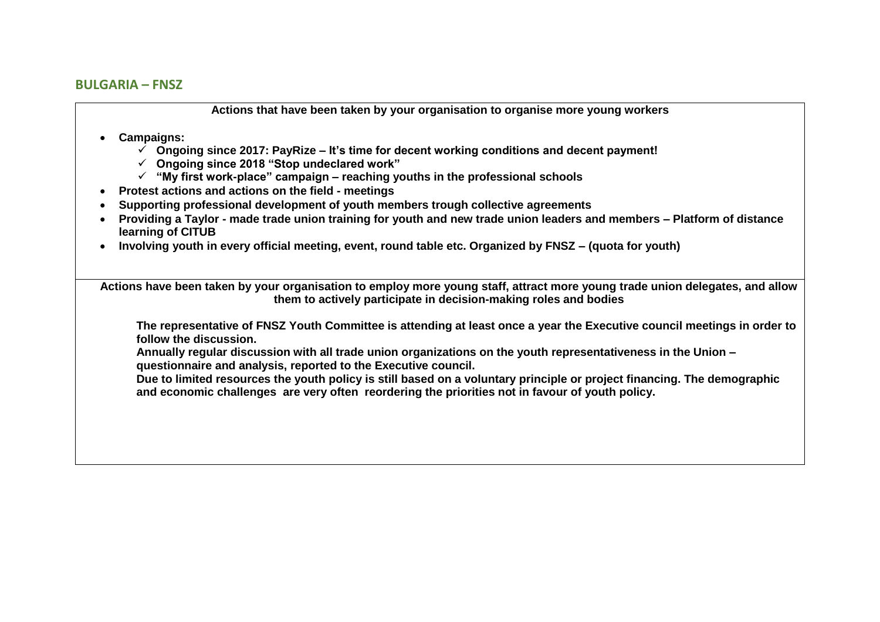## **BULGARIA – FNSZ**

**Actions that have been taken by your organisation to organise more young workers**

## • **Campaigns:**

- ✓ **Ongoing since 2017: PayRize – It's time for decent working conditions and decent payment!**
- ✓ **Ongoing since 2018 "Stop undeclared work"**
- ✓ **"My first work-place" campaign – reaching youths in the professional schools**
- **Protest actions and actions on the field - meetings**
- **Supporting professional development of youth members trough collective agreements**
- **Providing a Taylor - made trade union training for youth and new trade union leaders and members – Platform of distance learning of CITUB**
- **Involving youth in every official meeting, event, round table etc. Organized by FNSZ – (quota for youth)**

**Actions have been taken by your organisation to employ more young staff, attract more young trade union delegates, and allow them to actively participate in decision-making roles and bodies**

**The representative of FNSZ Youth Committee is attending at least once a year the Executive council meetings in order to follow the discussion.** 

**Annually regular discussion with all trade union organizations on the youth representativeness in the Union – questionnaire and analysis, reported to the Executive council.** 

**Due to limited resources the youth policy is still based on a voluntary principle or project financing. The demographic and economic challenges are very often reordering the priorities not in favour of youth policy.**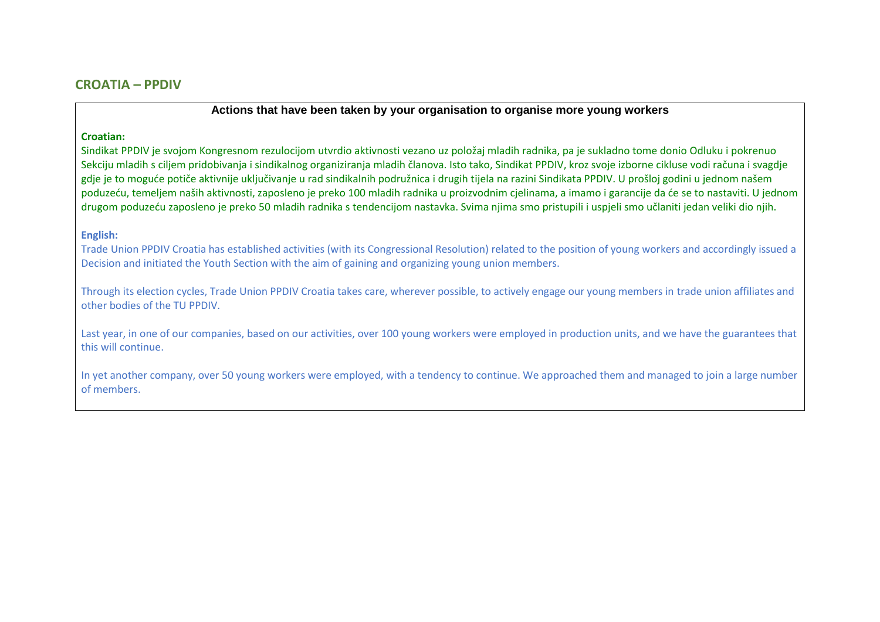#### **Croatian:**

Sindikat PPDIV je svojom Kongresnom rezulocijom utvrdio aktivnosti vezano uz položaj mladih radnika, pa je sukladno tome donio Odluku i pokrenuo Sekciju mladih s ciljem pridobivanja i sindikalnog organiziranja mladih članova. Isto tako, Sindikat PPDIV, kroz svoje izborne cikluse vodi računa i svagdje gdje je to moguće potiče aktivnije uključivanje u rad sindikalnih podružnica i drugih tijela na razini Sindikata PPDIV. U prošloj godini u jednom našem poduzeću, temeljem naših aktivnosti, zaposleno je preko 100 mladih radnika u proizvodnim cjelinama, a imamo i garancije da će se to nastaviti. U jednom drugom poduzeću zaposleno je preko 50 mladih radnika s tendencijom nastavka. Svima njima smo pristupili i uspjeli smo učlaniti jedan veliki dio njih.

#### **English:**

Trade Union PPDIV Croatia has established activities (with its Congressional Resolution) related to the position of young workers and accordingly issued a Decision and initiated the Youth Section with the aim of gaining and organizing young union members.

Through its election cycles, Trade Union PPDIV Croatia takes care, wherever possible, to actively engage our young members in trade union affiliates and other bodies of the TU PPDIV.

Last year, in one of our companies, based on our activities, over 100 young workers were employed in production units, and we have the guarantees that this will continue.

In yet another company, over 50 young workers were employed, with a tendency to continue. We approached them and managed to join a large number of members.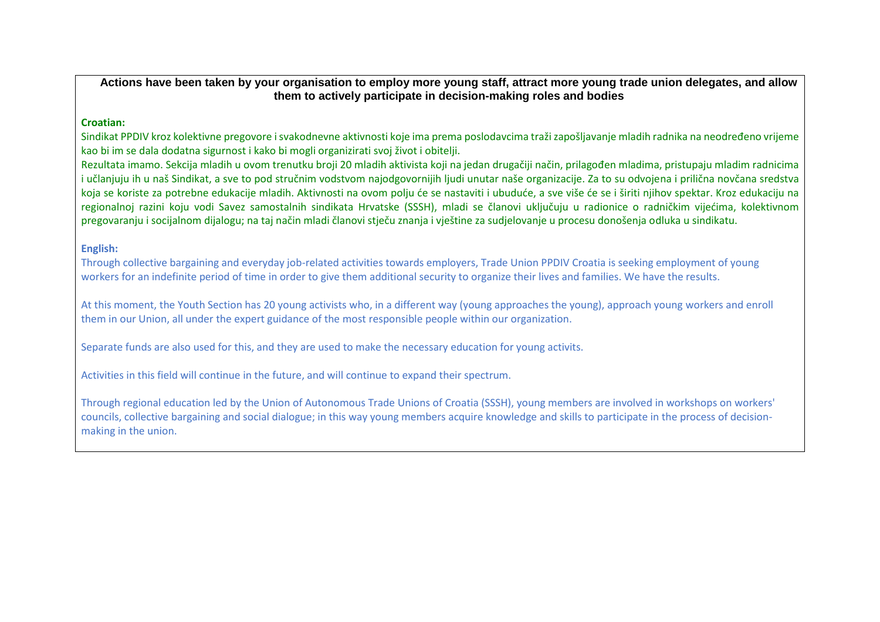**Actions have been taken by your organisation to employ more young staff, attract more young trade union delegates, and allow them to actively participate in decision-making roles and bodies**

#### **Croatian:**

Sindikat PPDIV kroz kolektivne pregovore i svakodnevne aktivnosti koje ima prema poslodavcima traži zapošljavanje mladih radnika na neodređeno vrijeme kao bi im se dala dodatna sigurnost i kako bi mogli organizirati svoj život i obitelji.

Rezultata imamo. Sekcija mladih u ovom trenutku broji 20 mladih aktivista koji na jedan drugačiji način, prilagođen mladima, pristupaju mladim radnicima i učlanjuju ih u naš Sindikat, a sve to pod stručnim vodstvom najodgovornijih ljudi unutar naše organizacije. Za to su odvojena i prilična novčana sredstva koja se koriste za potrebne edukacije mladih. Aktivnosti na ovom polju će se nastaviti i ubuduće, a sve više će se i širiti njihov spektar. Kroz edukaciju na regionalnoj razini koju vodi Savez samostalnih sindikata Hrvatske (SSSH), mladi se članovi uključuju u radionice o radničkim vijećima, kolektivnom pregovaranju i socijalnom dijalogu; na taj način mladi članovi stječu znanja i vještine za sudjelovanje u procesu donošenja odluka u sindikatu.

#### **English:**

Through collective bargaining and everyday job-related activities towards employers, Trade Union PPDIV Croatia is seeking employment of young workers for an indefinite period of time in order to give them additional security to organize their lives and families. We have the results.

At this moment, the Youth Section has 20 young activists who, in a different way (young approaches the young), approach young workers and enroll them in our Union, all under the expert guidance of the most responsible people within our organization.

Separate funds are also used for this, and they are used to make the necessary education for young activits.

Activities in this field will continue in the future, and will continue to expand their spectrum.

Through regional education led by the Union of Autonomous Trade Unions of Croatia (SSSH), young members are involved in workshops on workers' councils, collective bargaining and social dialogue; in this way young members acquire knowledge and skills to participate in the process of decisionmaking in the union.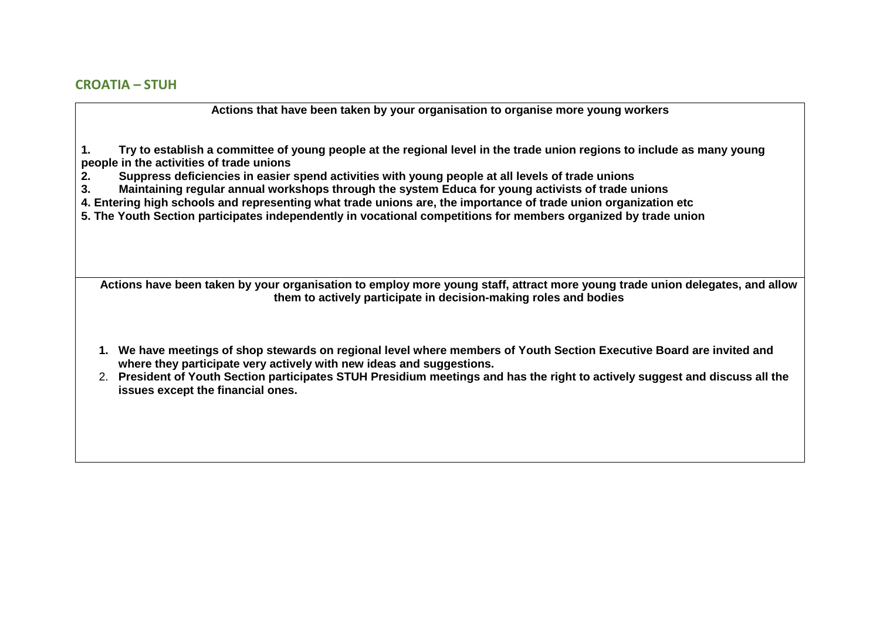**1. Try to establish a committee of young people at the regional level in the trade union regions to include as many young people in the activities of trade unions**

- **2. Suppress deficiencies in easier spend activities with young people at all levels of trade unions**
- **3. Maintaining regular annual workshops through the system Educa for young activists of trade unions**
- **4. Entering high schools and representing what trade unions are, the importance of trade union organization etc**

**5. The Youth Section participates independently in vocational competitions for members organized by trade union**

**Actions have been taken by your organisation to employ more young staff, attract more young trade union delegates, and allow them to actively participate in decision-making roles and bodies**

- **1. We have meetings of shop stewards on regional level where members of Youth Section Executive Board are invited and where they participate very actively with new ideas and suggestions.**
- 2. **President of Youth Section participates STUH Presidium meetings and has the right to actively suggest and discuss all the issues except the financial ones.**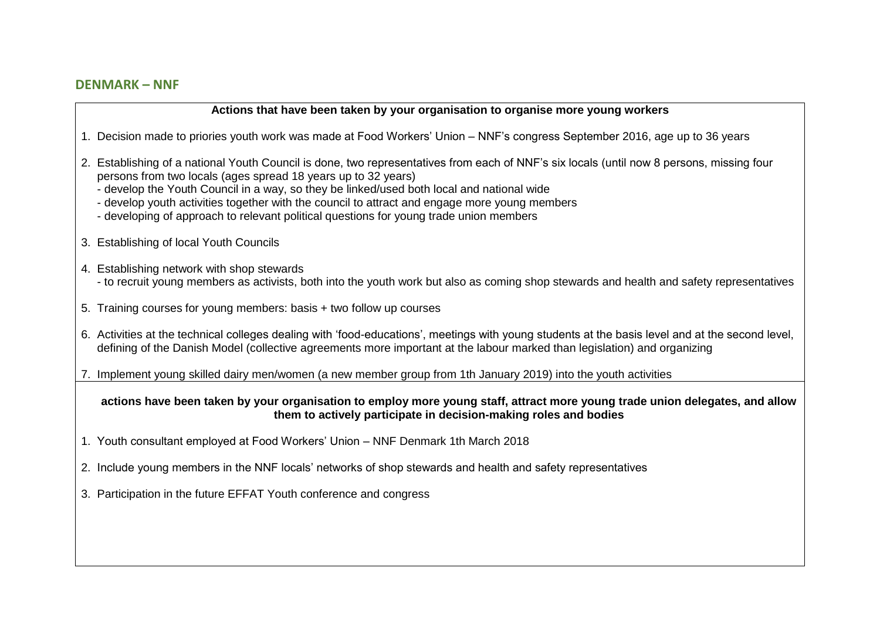# **DENMARK – NNF**

#### **Actions that have been taken by your organisation to organise more young workers**

- 1. Decision made to priories youth work was made at Food Workers' Union NNF's congress September 2016, age up to 36 years
- 2. Establishing of a national Youth Council is done, two representatives from each of NNF's six locals (until now 8 persons, missing four persons from two locals (ages spread 18 years up to 32 years)
	- develop the Youth Council in a way, so they be linked/used both local and national wide
	- develop youth activities together with the council to attract and engage more young members
	- developing of approach to relevant political questions for young trade union members
- 3. Establishing of local Youth Councils
- 4. Establishing network with shop stewards
	- to recruit young members as activists, both into the youth work but also as coming shop stewards and health and safety representatives
- 5. Training courses for young members: basis + two follow up courses
- 6. Activities at the technical colleges dealing with 'food-educations', meetings with young students at the basis level and at the second level, defining of the Danish Model (collective agreements more important at the labour marked than legislation) and organizing

7. Implement young skilled dairy men/women (a new member group from 1th January 2019) into the youth activities

#### **actions have been taken by your organisation to employ more young staff, attract more young trade union delegates, and allow them to actively participate in decision-making roles and bodies**

- 1. Youth consultant employed at Food Workers' Union NNF Denmark 1th March 2018
- 2. Include young members in the NNF locals' networks of shop stewards and health and safety representatives
- 3. Participation in the future EFFAT Youth conference and congress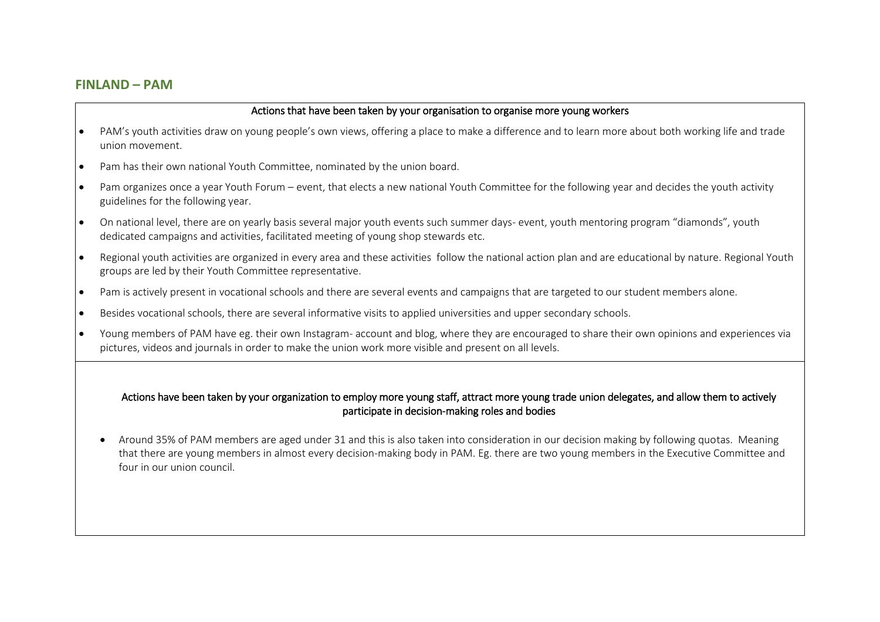## **FINLAND – PAM**

#### Actions that have been taken by your organisation to organise more young workers

- PAM's youth activities draw on young people's own views, offering a place to make a difference and to learn more about both working life and trade union movement.
- Pam has their own national Youth Committee, nominated by the union board.
- Pam organizes once a year Youth Forum event, that elects a new national Youth Committee for the following year and decides the youth activity guidelines for the following year.
- On national level, there are on yearly basis several major youth events such summer days- event, youth mentoring program "diamonds", youth dedicated campaigns and activities, facilitated meeting of young shop stewards etc.
- Regional youth activities are organized in every area and these activities follow the national action plan and are educational by nature. Regional Youth groups are led by their Youth Committee representative.
- Pam is actively present in vocational schools and there are several events and campaigns that are targeted to our student members alone.
- Besides vocational schools, there are several informative visits to applied universities and upper secondary schools.
- Young members of PAM have eg. their own Instagram- account and blog, where they are encouraged to share their own opinions and experiences via pictures, videos and journals in order to make the union work more visible and present on all levels.

## Actions have been taken by your organization to employ more young staff, attract more young trade union delegates, and allow them to actively participate in decision-making roles and bodies

• Around 35% of PAM members are aged under 31 and this is also taken into consideration in our decision making by following quotas. Meaning that there are young members in almost every decision-making body in PAM. Eg. there are two young members in the Executive Committee and four in our union council.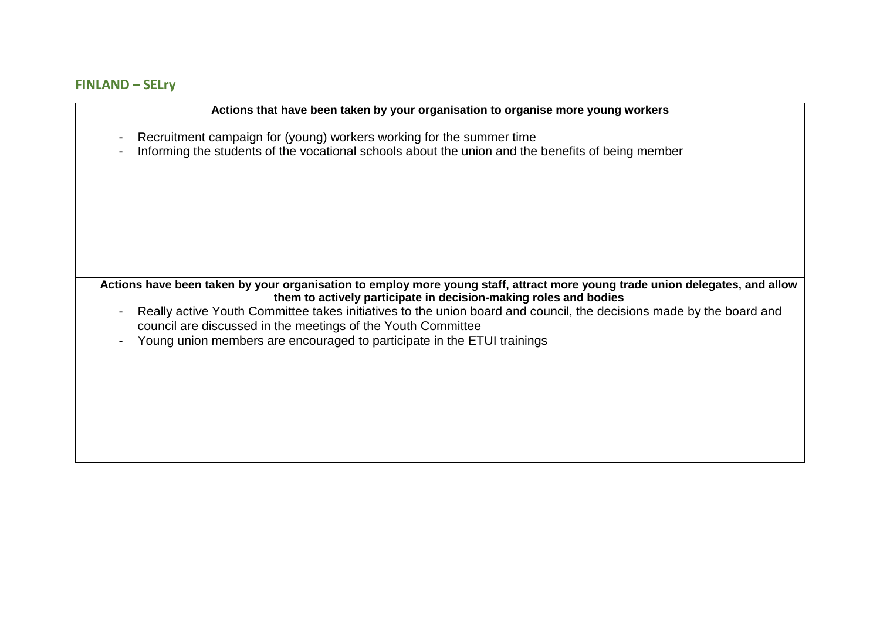# **FINLAND – SELry**

| Actions that have been taken by your organisation to organise more young workers                                                                                                                                |
|-----------------------------------------------------------------------------------------------------------------------------------------------------------------------------------------------------------------|
| Recruitment campaign for (young) workers working for the summer time<br>$\blacksquare$                                                                                                                          |
| Informing the students of the vocational schools about the union and the benefits of being member<br>$\qquad \qquad \blacksquare$                                                                               |
|                                                                                                                                                                                                                 |
|                                                                                                                                                                                                                 |
|                                                                                                                                                                                                                 |
|                                                                                                                                                                                                                 |
|                                                                                                                                                                                                                 |
|                                                                                                                                                                                                                 |
| Actions have been taken by your organisation to employ more young staff, attract more young trade union delegates, and allow<br>them to actively participate in decision-making roles and bodies                |
| Really active Youth Committee takes initiatives to the union board and council, the decisions made by the board and<br>$\overline{\phantom{a}}$<br>council are discussed in the meetings of the Youth Committee |
| Young union members are encouraged to participate in the ETUI trainings<br>$\overline{a}$                                                                                                                       |
|                                                                                                                                                                                                                 |
|                                                                                                                                                                                                                 |
|                                                                                                                                                                                                                 |
|                                                                                                                                                                                                                 |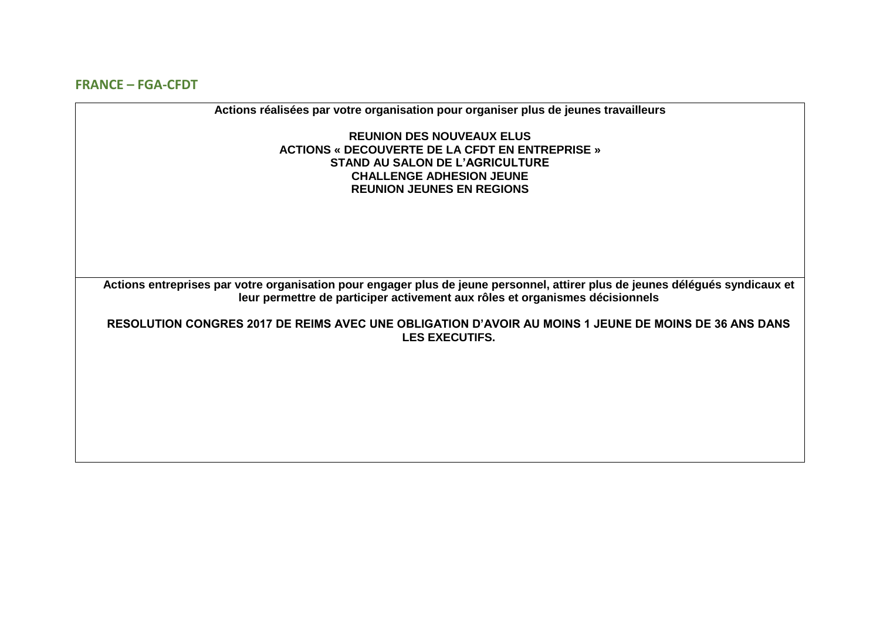**FRANCE – FGA-CFDT**

**Actions réalisées par votre organisation pour organiser plus de jeunes travailleurs REUNION DES NOUVEAUX ELUS ACTIONS « DECOUVERTE DE LA CFDT EN ENTREPRISE » STAND AU SALON DE L'AGRICULTURE CHALLENGE ADHESION JEUNE REUNION JEUNES EN REGIONS Actions entreprises par votre organisation pour engager plus de jeune personnel, attirer plus de jeunes délégués syndicaux et leur permettre de participer activement aux rôles et organismes décisionnels RESOLUTION CONGRES 2017 DE REIMS AVEC UNE OBLIGATION D'AVOIR AU MOINS 1 JEUNE DE MOINS DE 36 ANS DANS LES EXECUTIFS.**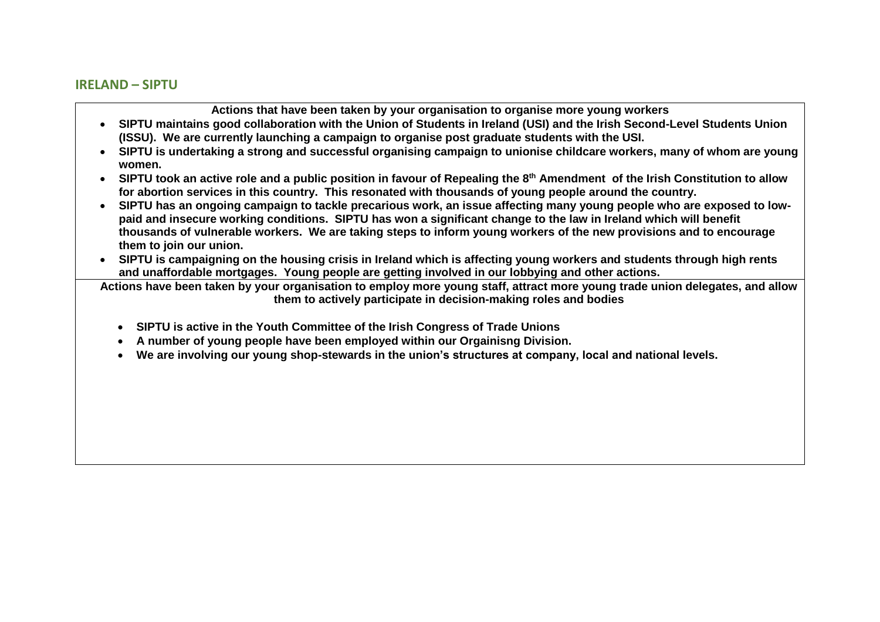## **IRELAND – SIPTU**

**Actions that have been taken by your organisation to organise more young workers**

- **SIPTU maintains good collaboration with the Union of Students in Ireland (USI) and the Irish Second-Level Students Union (ISSU). We are currently launching a campaign to organise post graduate students with the USI.**
- **SIPTU is undertaking a strong and successful organising campaign to unionise childcare workers, many of whom are young women.**
- **SIPTU took an active role and a public position in favour of Repealing the 8th Amendment of the Irish Constitution to allow for abortion services in this country. This resonated with thousands of young people around the country.**
- **SIPTU has an ongoing campaign to tackle precarious work, an issue affecting many young people who are exposed to lowpaid and insecure working conditions. SIPTU has won a significant change to the law in Ireland which will benefit thousands of vulnerable workers. We are taking steps to inform young workers of the new provisions and to encourage them to join our union.**
- **SIPTU is campaigning on the housing crisis in Ireland which is affecting young workers and students through high rents and unaffordable mortgages. Young people are getting involved in our lobbying and other actions.**

**Actions have been taken by your organisation to employ more young staff, attract more young trade union delegates, and allow them to actively participate in decision-making roles and bodies**

- **SIPTU is active in the Youth Committee of the Irish Congress of Trade Unions**
- **A number of young people have been employed within our Orgainisng Division.**
- **We are involving our young shop-stewards in the union's structures at company, local and national levels.**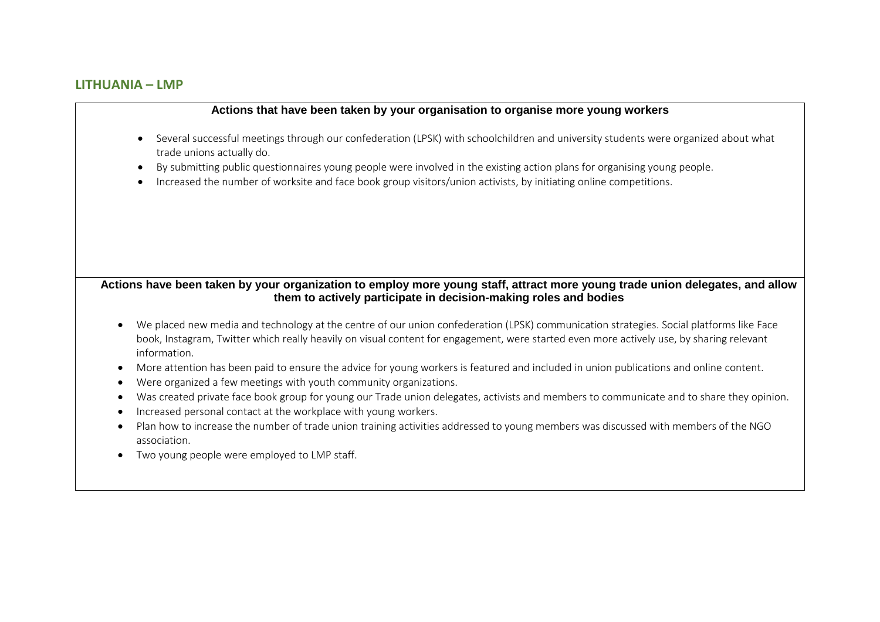# **LITHUANIA – LMP**

#### **Actions that have been taken by your organisation to organise more young workers**

- Several successful meetings through our confederation (LPSK) with schoolchildren and university students were organized about what trade unions actually do.
- By submitting public questionnaires young people were involved in the existing action plans for organising young people.
- Increased the number of worksite and face book group visitors/union activists, by initiating online competitions.

## **Actions have been taken by your organization to employ more young staff, attract more young trade union delegates, and allow them to actively participate in decision-making roles and bodies**

- We placed new media and technology at the centre of our union confederation (LPSK) communication strategies. Social platforms like Face book, Instagram, Twitter which really heavily on visual content for engagement, were started even more actively use, by sharing relevant information.
- More attention has been paid to ensure the advice for young workers is featured and included in union publications and online content.
- Were organized a few meetings with youth community organizations.
- Was created private face book group for young our Trade union delegates, activists and members to communicate and to share they opinion.
- Increased personal contact at the workplace with young workers.
- Plan how to increase the number of trade union training activities addressed to young members was discussed with members of the NGO association.
- Two young people were employed to LMP staff.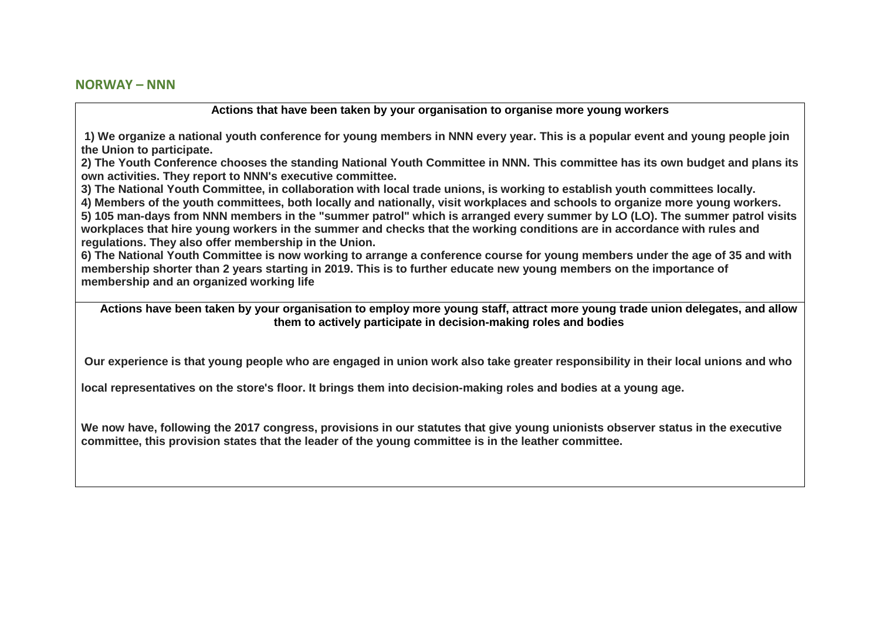#### **NORWAY – NNN**

**Actions that have been taken by your organisation to organise more young workers**

**1) We organize a national youth conference for young members in NNN every year. This is a popular event and young people join the Union to participate.**

**2) The Youth Conference chooses the standing National Youth Committee in NNN. This committee has its own budget and plans its own activities. They report to NNN's executive committee.**

**3) The National Youth Committee, in collaboration with local trade unions, is working to establish youth committees locally.**

**4) Members of the youth committees, both locally and nationally, visit workplaces and schools to organize more young workers.**

**5) 105 man-days from NNN members in the "summer patrol" which is arranged every summer by LO (LO). The summer patrol visits workplaces that hire young workers in the summer and checks that the working conditions are in accordance with rules and regulations. They also offer membership in the Union.**

**6) The National Youth Committee is now working to arrange a conference course for young members under the age of 35 and with membership shorter than 2 years starting in 2019. This is to further educate new young members on the importance of membership and an organized working life**

**Actions have been taken by your organisation to employ more young staff, attract more young trade union delegates, and allow them to actively participate in decision-making roles and bodies**

**Our experience is that young people who are engaged in union work also take greater responsibility in their local unions and who**

**local representatives on the store's floor. It brings them into decision-making roles and bodies at a young age.**

**We now have, following the 2017 congress, provisions in our statutes that give young unionists observer status in the executive committee, this provision states that the leader of the young committee is in the leather committee.**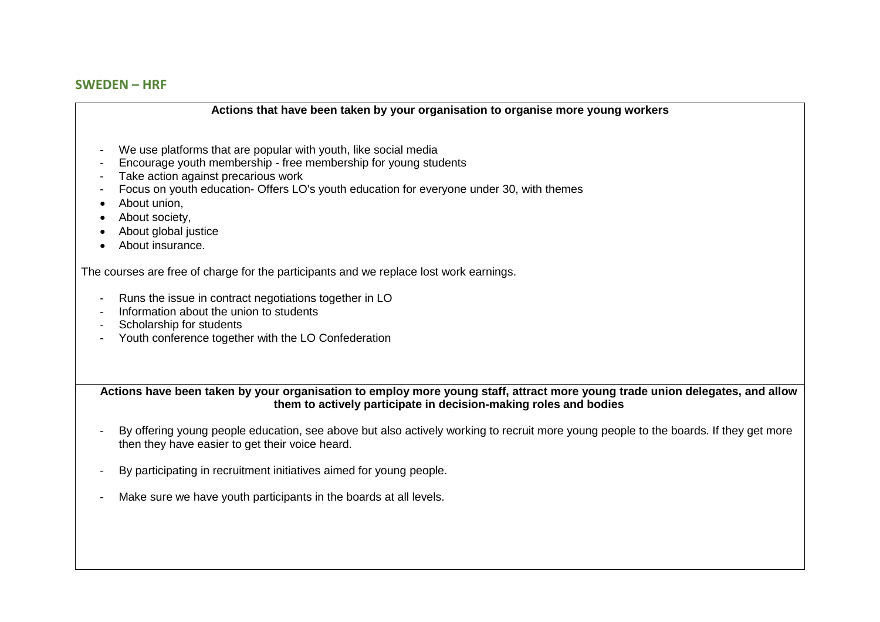# **SWEDEN – HRF**

| Actions that have been taken by your organisation to organise more young workers                                                                                                                                                                                                                                                |
|---------------------------------------------------------------------------------------------------------------------------------------------------------------------------------------------------------------------------------------------------------------------------------------------------------------------------------|
| We use platforms that are popular with youth, like social media<br>Encourage youth membership - free membership for young students<br>Take action against precarious work<br>Focus on youth education- Offers LO's youth education for everyone under 30, with themes<br>About union,<br>About society,<br>About global justice |
| About insurance.                                                                                                                                                                                                                                                                                                                |
| The courses are free of charge for the participants and we replace lost work earnings.                                                                                                                                                                                                                                          |
| Runs the issue in contract negotiations together in LO<br>Information about the union to students<br>Scholarship for students                                                                                                                                                                                                   |
| Youth conference together with the LO Confederation                                                                                                                                                                                                                                                                             |
| Actions have been taken by your organisation to employ more young staff, attract more young trade union delegates, and allow<br>them to actively participate in decision-making roles and bodies                                                                                                                                |
| By offering young people education, see above but also actively working to recruit more young people to the boards. If they get more<br>then they have easier to get their voice heard.                                                                                                                                         |
| By participating in recruitment initiatives aimed for young people.                                                                                                                                                                                                                                                             |
| Make sure we have youth participants in the boards at all levels.                                                                                                                                                                                                                                                               |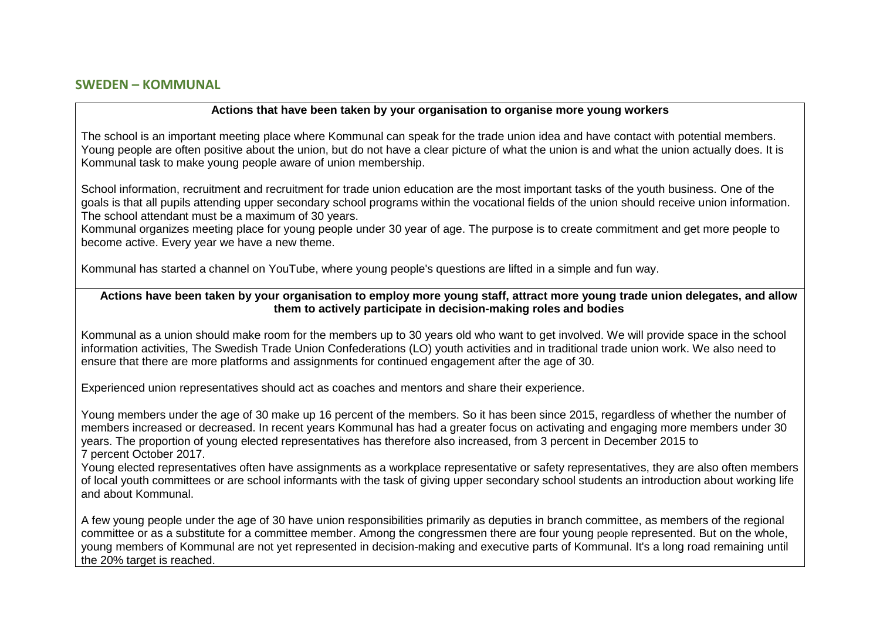## **SWEDEN – KOMMUNAL**

#### **Actions that have been taken by your organisation to organise more young workers**

The school is an important meeting place where Kommunal can speak for the trade union idea and have contact with potential members. Young people are often positive about the union, but do not have a clear picture of what the union is and what the union actually does. It is Kommunal task to make young people aware of union membership.

School information, recruitment and recruitment for trade union education are the most important tasks of the youth business. One of the goals is that all pupils attending upper secondary school programs within the vocational fields of the union should receive union information. The school attendant must be a maximum of 30 years.

Kommunal organizes meeting place for young people under 30 year of age. The purpose is to create commitment and get more people to become active. Every year we have a new theme.

Kommunal has started a channel on YouTube, where young people's questions are lifted in a simple and fun way.

#### **Actions have been taken by your organisation to employ more young staff, attract more young trade union delegates, and allow them to actively participate in decision-making roles and bodies**

Kommunal as a union should make room for the members up to 30 years old who want to get involved. We will provide space in the school information activities, The Swedish Trade Union Confederations (LO) youth activities and in traditional trade union work. We also need to ensure that there are more platforms and assignments for continued engagement after the age of 30.

Experienced union representatives should act as coaches and mentors and share their experience.

Young members under the age of 30 make up 16 percent of the members. So it has been since 2015, regardless of whether the number of members increased or decreased. In recent years Kommunal has had a greater focus on activating and engaging more members under 30 years. The proportion of young elected representatives has therefore also increased, from 3 percent in December 2015 to 7 percent October 2017.

Young elected representatives often have assignments as a workplace representative or safety representatives, they are also often members of local youth committees or are school informants with the task of giving upper secondary school students an introduction about working life and about Kommunal.

A few young people under the age of 30 have union responsibilities primarily as deputies in branch committee, as members of the regional committee or as a substitute for a committee member. Among the congressmen there are four young people represented. But on the whole, young members of Kommunal are not yet represented in decision-making and executive parts of Kommunal. It's a long road remaining until the 20% target is reached.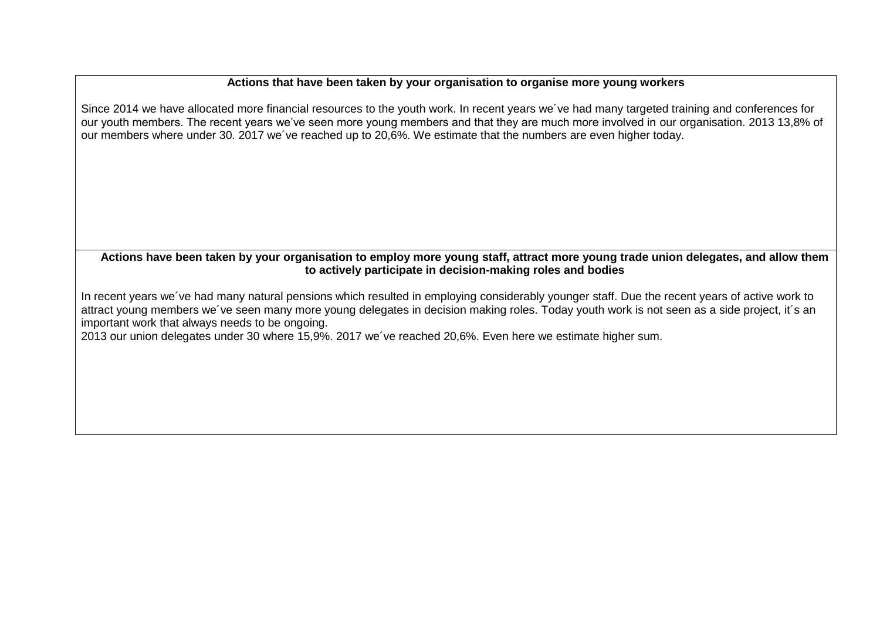Since 2014 we have allocated more financial resources to the youth work. In recent years we´ve had many targeted training and conferences for our youth members. The recent years we've seen more young members and that they are much more involved in our organisation. 2013 13,8% of our members where under 30. 2017 we´ve reached up to 20,6%. We estimate that the numbers are even higher today.

## **Actions have been taken by your organisation to employ more young staff, attract more young trade union delegates, and allow them to actively participate in decision-making roles and bodies**

In recent years we´ve had many natural pensions which resulted in employing considerably younger staff. Due the recent years of active work to attract young members we´ve seen many more young delegates in decision making roles. Today youth work is not seen as a side project, it´s an important work that always needs to be ongoing.

2013 our union delegates under 30 where 15,9%. 2017 we´ve reached 20,6%. Even here we estimate higher sum.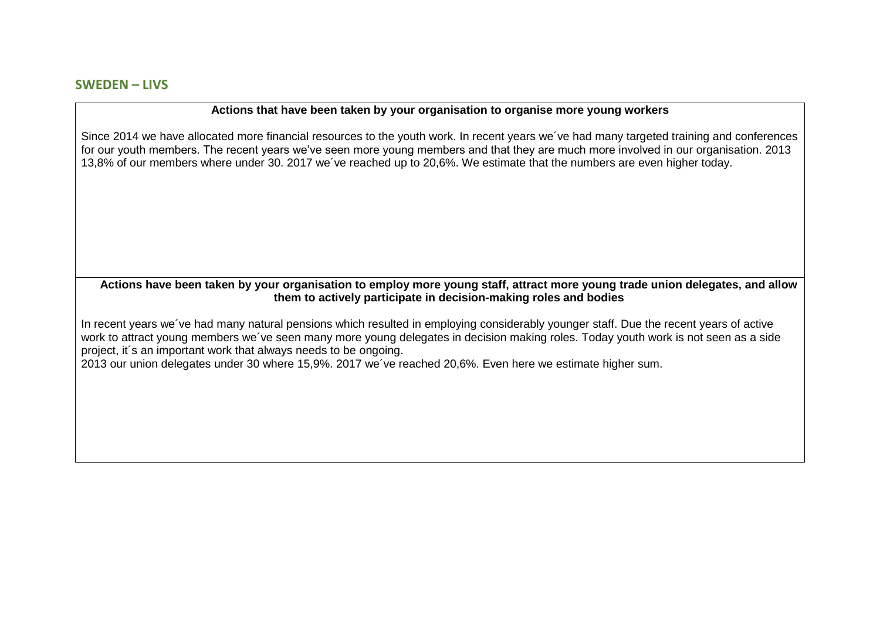Since 2014 we have allocated more financial resources to the youth work. In recent years we´ve had many targeted training and conferences for our youth members. The recent years we've seen more young members and that they are much more involved in our organisation. 2013 13,8% of our members where under 30. 2017 we´ve reached up to 20,6%. We estimate that the numbers are even higher today.

**Actions have been taken by your organisation to employ more young staff, attract more young trade union delegates, and allow them to actively participate in decision-making roles and bodies**

In recent years we´ve had many natural pensions which resulted in employing considerably younger staff. Due the recent years of active work to attract young members we´ve seen many more young delegates in decision making roles. Today youth work is not seen as a side project, it´s an important work that always needs to be ongoing.

2013 our union delegates under 30 where 15,9%. 2017 we´ve reached 20,6%. Even here we estimate higher sum.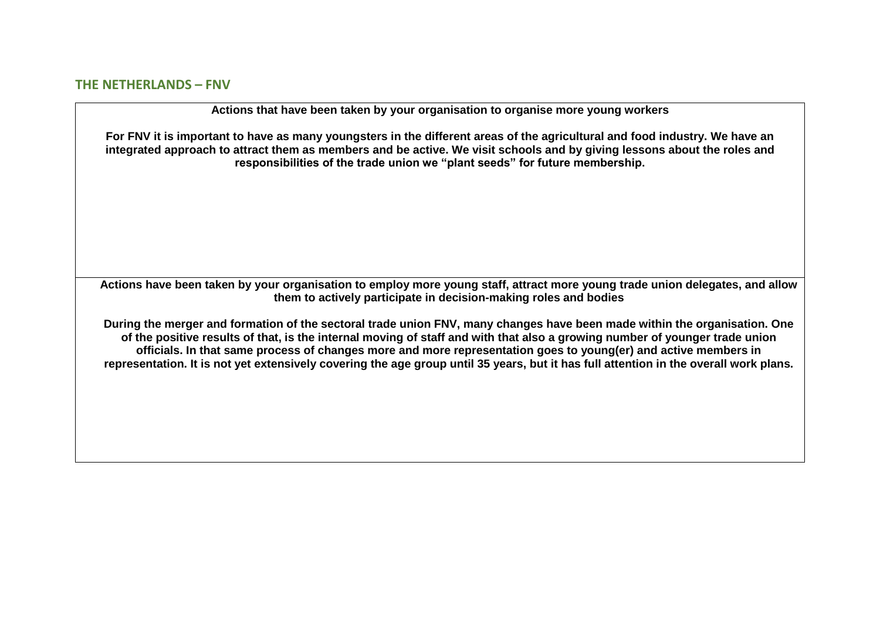## **THE NETHERLANDS – FNV**

**Actions that have been taken by your organisation to organise more young workers**

**For FNV it is important to have as many youngsters in the different areas of the agricultural and food industry. We have an integrated approach to attract them as members and be active. We visit schools and by giving lessons about the roles and responsibilities of the trade union we "plant seeds" for future membership.** 

**Actions have been taken by your organisation to employ more young staff, attract more young trade union delegates, and allow them to actively participate in decision-making roles and bodies**

**During the merger and formation of the sectoral trade union FNV, many changes have been made within the organisation. One of the positive results of that, is the internal moving of staff and with that also a growing number of younger trade union officials. In that same process of changes more and more representation goes to young(er) and active members in representation. It is not yet extensively covering the age group until 35 years, but it has full attention in the overall work plans.**